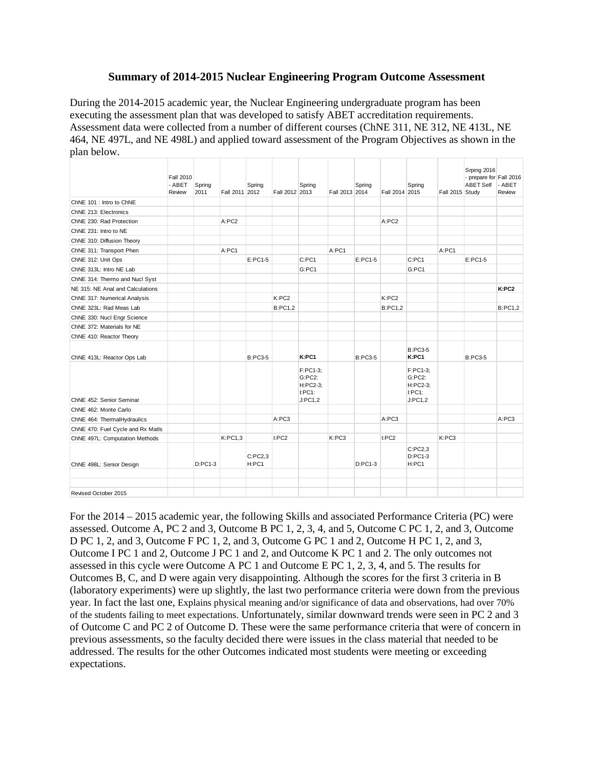## **Summary of 2014-2015 Nuclear Engineering Program Outcome Assessment**

During the 2014-2015 academic year, the Nuclear Engineering undergraduate program has been executing the assessment plan that was developed to satisfy ABET accreditation requirements. Assessment data were collected from a number of different courses (ChNE 311, NE 312, NE 413L, NE 464, NE 497L, and NE 498L) and applied toward assessment of the Program Objectives as shown in the plan below.

|                                   | <b>Fall 2010</b><br>- ABET<br>Review | Spring<br>2011 | Fall 2011 2012 | Spring           | Fall 2012 2013 | Spring                                              | Fall 2013 2014 | Spring         | Fall 2014 2015 | Spring                                                 | Fall 2015 Study | Srping 2016<br>- prepare for Fall 2016<br><b>ABET Self</b> | - ABET<br>Review |
|-----------------------------------|--------------------------------------|----------------|----------------|------------------|----------------|-----------------------------------------------------|----------------|----------------|----------------|--------------------------------------------------------|-----------------|------------------------------------------------------------|------------------|
| ChNE 101 : Intro to ChNE          |                                      |                |                |                  |                |                                                     |                |                |                |                                                        |                 |                                                            |                  |
| ChNE 213: Electronics             |                                      |                |                |                  |                |                                                     |                |                |                |                                                        |                 |                                                            |                  |
| ChNE 230: Rad Protection          |                                      |                | A:PC2          |                  |                |                                                     |                |                | A:PC2          |                                                        |                 |                                                            |                  |
| ChNE 231: Intro to NE             |                                      |                |                |                  |                |                                                     |                |                |                |                                                        |                 |                                                            |                  |
| ChNE 310: Diffusion Theory        |                                      |                |                |                  |                |                                                     |                |                |                |                                                        |                 |                                                            |                  |
| ChNE 311: Transport Phen          |                                      |                | A:PC1          |                  |                |                                                     | A:PC1          |                |                |                                                        | A:PC1           |                                                            |                  |
| ChNE 312: Unit Ops                |                                      |                |                | $E:PC1-5$        |                | C:PC1                                               |                | $E:PC1-5$      |                | C:PC1                                                  |                 | $E:PC1-5$                                                  |                  |
| ChNE 313L: Intro NE Lab           |                                      |                |                |                  |                | G:PC1                                               |                |                |                | G:PC1                                                  |                 |                                                            |                  |
| ChNE 314: Thermo and Nucl Syst    |                                      |                |                |                  |                |                                                     |                |                |                |                                                        |                 |                                                            |                  |
| NE 315: NE Anal and Calculations  |                                      |                |                |                  |                |                                                     |                |                |                |                                                        |                 |                                                            | K:PC2            |
| ChNE 317: Numerical Analysis      |                                      |                |                |                  | K:PC2          |                                                     |                |                | K:PC2          |                                                        |                 |                                                            |                  |
| ChNE 323L: Rad Meas Lab           |                                      |                |                |                  | <b>B:PC1.2</b> |                                                     |                |                | <b>B:PC1.2</b> |                                                        |                 |                                                            | <b>B:PC1.2</b>   |
| ChNE 330: Nucl Engr Science       |                                      |                |                |                  |                |                                                     |                |                |                |                                                        |                 |                                                            |                  |
| ChNE 372: Materials for NE        |                                      |                |                |                  |                |                                                     |                |                |                |                                                        |                 |                                                            |                  |
| ChNE 410: Reactor Theory          |                                      |                |                |                  |                |                                                     |                |                |                |                                                        |                 |                                                            |                  |
| ChNE 413L: Reactor Ops Lab        |                                      |                |                | <b>B:PC3-5</b>   |                | K:PC1                                               |                | <b>B:PC3-5</b> |                | <b>B:PC3-5</b><br>K:PC1                                |                 | <b>B:PC3-5</b>                                             |                  |
| ChNE 452: Senior Seminar          |                                      |                |                |                  |                | F:PC1-3:<br>G:PC2:<br>H:PC2-3:<br>I:PC1:<br>J:PC1,2 |                |                |                | F:PC1-3:<br>$G:PC2$ :<br>H:PC2-3:<br>I:PC1:<br>J:PC1,2 |                 |                                                            |                  |
| ChNE 462: Monte Carlo             |                                      |                |                |                  |                |                                                     |                |                |                |                                                        |                 |                                                            |                  |
| ChNE 464: ThermalHydraulics       |                                      |                |                |                  | A:PC3          |                                                     |                |                | A:PC3          |                                                        |                 |                                                            | A:PC3            |
| ChNE 470: Fuel Cycle and Rx Matls |                                      |                |                |                  |                |                                                     |                |                |                |                                                        |                 |                                                            |                  |
| ChNE 497L: Computation Methods    |                                      |                | K:PC1,3        |                  | I:PC2          |                                                     | K:PC3          |                | I:PC2          |                                                        | K:PC3           |                                                            |                  |
| ChNE 498L: Senior Design          |                                      | $D:PC1-3$      |                | C:PC2,3<br>H:PC1 |                |                                                     |                | $D:PC1-3$      |                | C:PC2.3<br>$D:PC1-3$<br>H:PC1                          |                 |                                                            |                  |
|                                   |                                      |                |                |                  |                |                                                     |                |                |                |                                                        |                 |                                                            |                  |
|                                   |                                      |                |                |                  |                |                                                     |                |                |                |                                                        |                 |                                                            |                  |
| Revised October 2015              |                                      |                |                |                  |                |                                                     |                |                |                |                                                        |                 |                                                            |                  |

For the 2014 – 2015 academic year, the following Skills and associated Performance Criteria (PC) were assessed. Outcome A, PC 2 and 3, Outcome B PC 1, 2, 3, 4, and 5, Outcome C PC 1, 2, and 3, Outcome D PC 1, 2, and 3, Outcome F PC 1, 2, and 3, Outcome G PC 1 and 2, Outcome H PC 1, 2, and 3, Outcome I PC 1 and 2, Outcome J PC 1 and 2, and Outcome K PC 1 and 2. The only outcomes not assessed in this cycle were Outcome A PC 1 and Outcome E PC 1, 2, 3, 4, and 5. The results for Outcomes B, C, and D were again very disappointing. Although the scores for the first 3 criteria in B (laboratory experiments) were up slightly, the last two performance criteria were down from the previous year. In fact the last one, Explains physical meaning and/or significance of data and observations, had over 70% of the students failing to meet expectations. Unfortunately, similar downward trends were seen in PC 2 and 3 of Outcome C and PC 2 of Outcome D. These were the same performance criteria that were of concern in previous assessments, so the faculty decided there were issues in the class material that needed to be addressed. The results for the other Outcomes indicated most students were meeting or exceeding expectations.